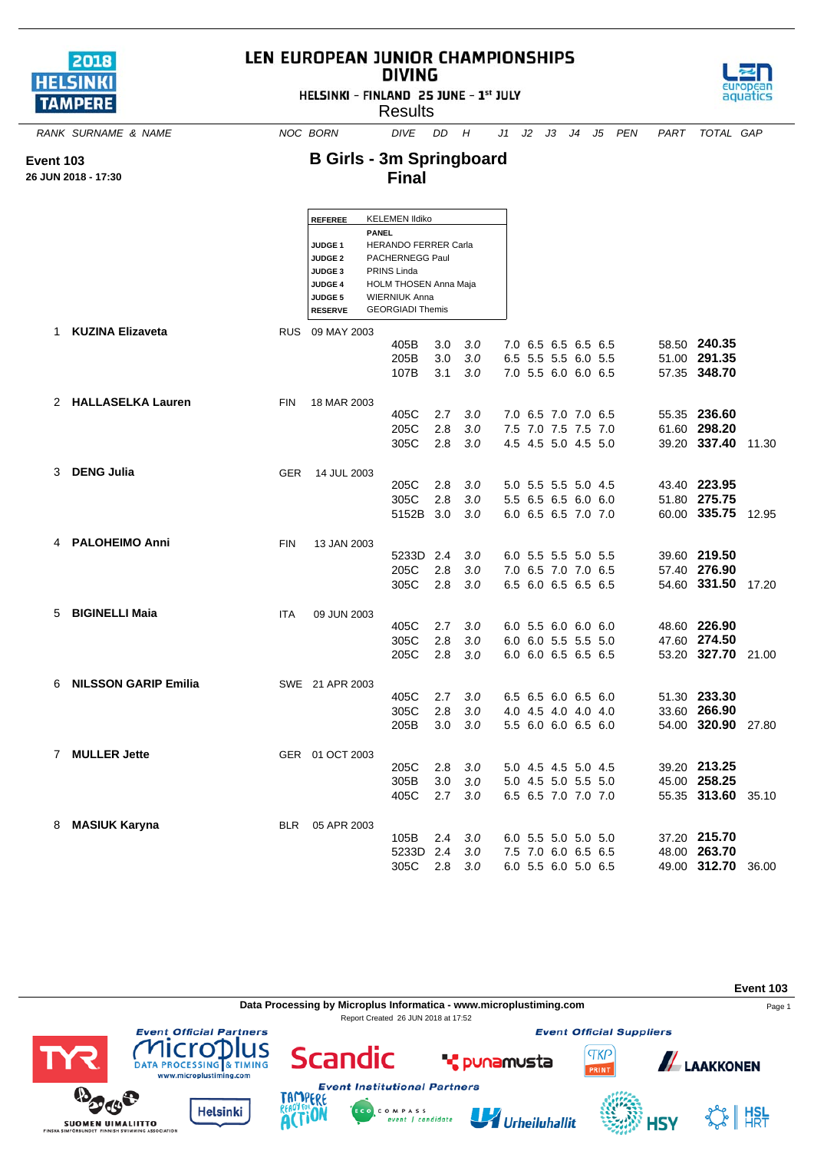| 2018           |  |
|----------------|--|
| <b>HELSINK</b> |  |
| <b>TAMPERE</b> |  |

## LEN EUROPEAN JUNIOR CHAMPIONSHIPS **DIVING**

HELSINKI - FINLAND 25 JUNE - 1st JULY



**B Girls - 3m Springboard**



*RANK SURNAME & NAME NOC BORN DIVE DD H J1 J2 J3 J4 J5 PEN PART TOTAL GAP*



**Event 103**

**26 JUN 2018 - 17:30**

|   | IN 2018 - 17:30        |            |                                                                                                                  | <b>Final</b>                                                                                                                                                                       |                   |                   |                                                                   |  |  |                                                    |       |
|---|------------------------|------------|------------------------------------------------------------------------------------------------------------------|------------------------------------------------------------------------------------------------------------------------------------------------------------------------------------|-------------------|-------------------|-------------------------------------------------------------------|--|--|----------------------------------------------------|-------|
|   |                        |            | <b>REFEREE</b><br>JUDGE <sub>1</sub><br><b>JUDGE 2</b><br>JUDGE 3<br><b>JUDGE 4</b><br>JUDGE 5<br><b>RESERVE</b> | <b>KELEMEN Ildiko</b><br><b>PANEL</b><br><b>HERANDO FERRER Carla</b><br>PACHERNEGG Paul<br>PRINS Linda<br>HOLM THOSEN Anna Maja<br><b>WIERNIUK Anna</b><br><b>GEORGIADI Themis</b> |                   |                   |                                                                   |  |  |                                                    |       |
|   | 1 KUZINA Elizaveta     |            | RUS 09 MAY 2003                                                                                                  | 405B<br>205B<br>107B                                                                                                                                                               | 3.0<br>3.0<br>3.1 | 3.0<br>3.0<br>3.0 | 7.0 6.5 6.5 6.5 6.5<br>6.5 5.5 5.5 6.0 5.5<br>7.0 5.5 6.0 6.0 6.5 |  |  | 58.50 240.35<br>51.00 291.35<br>57.35 348.70       |       |
|   | 2 HALLASELKA Lauren    | <b>FIN</b> | 18 MAR 2003                                                                                                      | 405C<br>205C<br>305C                                                                                                                                                               | 2.7<br>2.8<br>2.8 | 3.0<br>3.0<br>3.0 | 7.0 6.5 7.0 7.0 6.5<br>7.5 7.0 7.5 7.5 7.0<br>4.5 4.5 5.0 4.5 5.0 |  |  | 55.35 236.60<br>61.60 298.20<br>39.20 337.40       | 11.30 |
|   | 3 DENG Julia           | <b>GER</b> | 14 JUL 2003                                                                                                      | 205C<br>305C<br>5152B 3.0                                                                                                                                                          | 2.8<br>2.8        | 3.0<br>3.0<br>3.0 | 5.0 5.5 5.5 5.0 4.5<br>5.5 6.5 6.5 6.0 6.0<br>6.0 6.5 6.5 7.0 7.0 |  |  | 43.40 223.95<br>51.80 275.75<br>60.00 335.75       | 12.95 |
|   | 4 PALOHEIMO Anni       | <b>FIN</b> | 13 JAN 2003                                                                                                      | 5233D 2.4<br>205C<br>305C                                                                                                                                                          | 2.8<br>2.8        | 3.0<br>3.0<br>3.0 | 6.0 5.5 5.5 5.0 5.5<br>7.0 6.5 7.0 7.0 6.5<br>6.5 6.0 6.5 6.5 6.5 |  |  | 39.60 219.50<br>57.40 276.90<br>54.60 331.50       | 17.20 |
| 5 | <b>BIGINELLI Maia</b>  | <b>ITA</b> | 09 JUN 2003                                                                                                      | 405C<br>305C<br>205C                                                                                                                                                               | 2.7<br>2.8<br>2.8 | 3.0<br>3.0<br>3.0 | 6.0 5.5 6.0 6.0 6.0<br>6.0 6.0 5.5 5.5 5.0<br>6.0 6.0 6.5 6.5 6.5 |  |  | 48.60 226.90<br>47.60 274.50<br>53.20 327.70 21.00 |       |
|   | 6 NILSSON GARIP Emilia |            | SWE 21 APR 2003                                                                                                  | 405C<br>305C<br>205B                                                                                                                                                               | 2.7<br>2.8<br>3.0 | 3.0<br>3.0<br>3.0 | 6.5 6.5 6.0 6.5 6.0<br>4.0 4.5 4.0 4.0 4.0<br>5.5 6.0 6.0 6.5 6.0 |  |  | 51.30 233.30<br>33.60 266.90<br>54.00 320.90 27.80 |       |
|   | 7 MULLER Jette         |            | GER 01 OCT 2003                                                                                                  | 205C<br>305B<br>405C                                                                                                                                                               | 2.8<br>3.0<br>2.7 | 3.0<br>3.0<br>3.0 | 5.0 4.5 4.5 5.0 4.5<br>5.0 4.5 5.0 5.5 5.0<br>6.5 6.5 7.0 7.0 7.0 |  |  | 39.20 213.25<br>45.00 258.25<br>55.35 313.60       | 35.10 |
|   | 8 MASIUK Karyna        | <b>BLR</b> | 05 APR 2003                                                                                                      | 105B<br>5233D 2.4<br>305C                                                                                                                                                          | 2.4<br>2.8        | 3.0<br>3.0<br>3.0 | 6.0 5.5 5.0 5.0 5.0<br>7.5 7.0 6.0 6.5 6.5<br>6.0 5.5 6.0 5.0 6.5 |  |  | 37.20 215.70<br>48.00 263.70<br>49.00 312.70 36.00 |       |

**Event 103 Data Processing by Microplus Informatica - www.microplustiming.com** Page 1 Report Created 26 JUN 2018 at 17:52**Event Official Suppliers Event Official Partners** lus cro Scandic **TKP ALAAKKONEN T** punamusta ATA PROCESSING & TIMING RINT vww.microplustiming.com **Event Institutional Partners** ERE  $\mathbf{\Phi}$ **Helsinki**  $\frac{1}{2}$  HSL C O M P A S S<br>event | candidate U Urheiluhallit

**4SY** 

**ACTION** 

**SUOMEN UIMALIITTO**<br>FINSKA SIMFORBUNDET FINNISH SWIMMING ASSOCIATION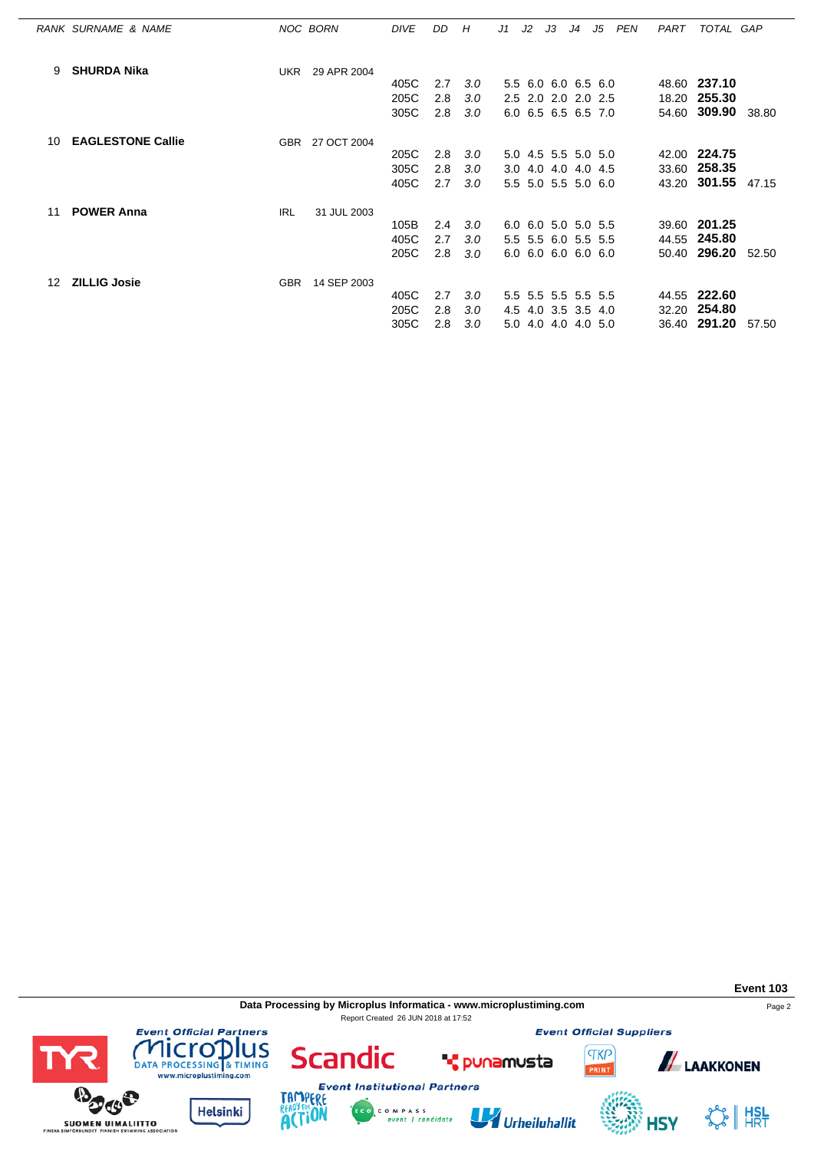|    | RANK SURNAME & NAME      | NOC BORN   |                 | <b>DIVE</b> | DD. | H                | J1  | J2 | J3                  | J <sub>4</sub> | J5 | PEN | PART  | TOTAL GAP           |       |
|----|--------------------------|------------|-----------------|-------------|-----|------------------|-----|----|---------------------|----------------|----|-----|-------|---------------------|-------|
| 9  | <b>SHURDA Nika</b>       | UKR        | 29 APR 2004     |             |     |                  |     |    |                     |                |    |     |       |                     |       |
|    |                          |            |                 | 405C        | 2.7 | 3.0              |     |    | 5.5 6.0 6.0 6.5 6.0 |                |    |     |       | 48.60 237.10        |       |
|    |                          |            |                 | 205C        | 2.8 | 3.0              |     |    | 2.5 2.0 2.0 2.0 2.5 |                |    |     |       | 18.20 255.30        |       |
|    |                          |            |                 | 305C        | 2.8 | 3.0              |     |    | 6.0 6.5 6.5 6.5 7.0 |                |    |     | 54.60 | <b>309.90</b> 38.80 |       |
|    |                          |            |                 |             |     |                  |     |    |                     |                |    |     |       |                     |       |
| 10 | <b>EAGLESTONE Callie</b> |            | GBR 27 OCT 2004 |             |     |                  |     |    |                     |                |    |     |       |                     |       |
|    |                          |            |                 | 205C        | 2.8 | 3.0              |     |    | 5.0 4.5 5.5 5.0 5.0 |                |    |     |       | 42.00 224.75        |       |
|    |                          |            |                 | 305C        | 2.8 | 3.0              |     |    | 3.0 4.0 4.0 4.0 4.5 |                |    |     | 33.60 | 258.35              |       |
|    |                          |            |                 | 405C        | 2.7 | 3.0 <sub>2</sub> |     |    | 5.5 5.0 5.5 5.0 6.0 |                |    |     |       | 43.20 301.55        | 47.15 |
| 11 | <b>POWER Anna</b>        | <b>IRL</b> | 31 JUL 2003     |             |     |                  |     |    |                     |                |    |     |       |                     |       |
|    |                          |            |                 | 105B        | 2.4 | 3.0              |     |    | 6.0 6.0 5.0 5.0 5.5 |                |    |     |       | 39.60 201.25        |       |
|    |                          |            |                 | 405C        | 2.7 | 3.0              |     |    | 5.5 5.5 6.0 5.5 5.5 |                |    |     |       | 44.55 245.80        |       |
|    |                          |            |                 | 205C        | 2.8 | 3.0              |     |    | 6.0 6.0 6.0 6.0 6.0 |                |    |     |       | 50.40 296.20        | 52.50 |
|    |                          |            |                 |             |     |                  |     |    |                     |                |    |     |       |                     |       |
| 12 | <b>ZILLIG Josie</b>      | <b>GBR</b> | 14 SEP 2003     |             |     |                  |     |    |                     |                |    |     |       |                     |       |
|    |                          |            |                 | 405C        | 2.7 | 3.0              |     |    | 5.5 5.5 5.5 5.5 5.5 |                |    |     |       | 44.55 222.60        |       |
|    |                          |            |                 | 205C        | 2.8 | 3.0 <sub>2</sub> | 4.5 |    | 4.0 3.5 3.5 4.0     |                |    |     |       | 32.20 254.80        |       |
|    |                          |            |                 | 305C        | 2.8 | 3.0              |     |    | 5.0 4.0 4.0 4.0 5.0 |                |    |     |       | 36.40 291.20        | 57.50 |

**Data Processing by Microplus Informatica - www.microplustiming.com** Page 2 Report Created 26 JUN 2018 at 17:52

**Event Official Suppliers** 

**TKP** 







**Scandic** 



**T** punamusta



**ALAAKKONEN**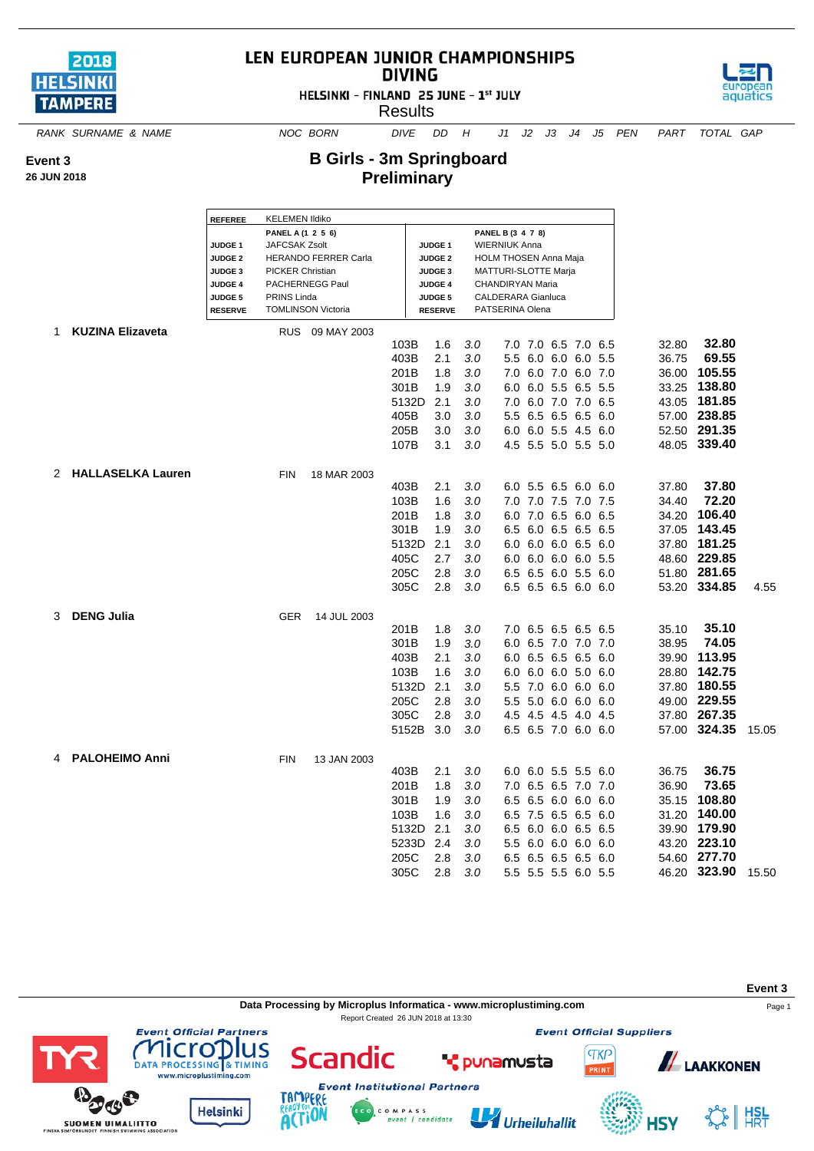

## LEN EUROPEAN JUNIOR CHAMPIONSHIPS **DIVING**





aquatics

**B Girls - 3m Springboard Preliminary**

*RANK SURNAME & NAME NOC BORN DIVE DD H J1 J2 J3 J4 J5 PEN PART TOTAL GAP*

**Event 3**

**26 JUN 2018**

|   |                         | <b>REFEREE</b>                       | <b>KELEMEN Ildiko</b>   |                           |              | PANEL B (3 4 7 8)<br><b>WIERNIUK Anna</b> |     |                              |                     |             |  |              |        |
|---|-------------------------|--------------------------------------|-------------------------|---------------------------|--------------|-------------------------------------------|-----|------------------------------|---------------------|-------------|--|--------------|--------|
|   |                         |                                      | PANEL A (1 2 5 6)       |                           |              |                                           |     |                              |                     |             |  |              |        |
|   |                         | JUDGE <sub>1</sub><br><b>JUDGE 2</b> | <b>JAFCSAK Zsolt</b>    | HERANDO FERRER Carla      |              | <b>JUDGE 1</b>                            |     | <b>HOLM THOSEN Anna Maja</b> |                     |             |  |              |        |
|   |                         | JUDGE 3                              | <b>PICKER Christian</b> |                           |              | <b>JUDGE 2</b><br><b>JUDGE 3</b>          |     | MATTURI-SLOTTE Marja         |                     |             |  |              |        |
|   |                         | <b>JUDGE 4</b>                       |                         | PACHERNEGG Paul           |              | <b>JUDGE 4</b>                            |     | CHANDIRYAN Maria             |                     |             |  |              |        |
|   |                         | <b>JUDGE 5</b>                       | PRINS Linda             |                           |              | <b>JUDGE 5</b>                            |     | <b>CALDERARA Gianluca</b>    |                     |             |  |              |        |
|   |                         | <b>RESERVE</b>                       |                         | <b>TOMLINSON Victoria</b> |              | <b>RESERVE</b>                            |     | PATSERINA Olena              |                     |             |  |              |        |
|   |                         |                                      |                         |                           |              |                                           |     |                              |                     |             |  |              |        |
| 1 | <b>KUZINA Elizaveta</b> |                                      |                         | RUS 09 MAY 2003           |              |                                           |     |                              |                     |             |  |              |        |
|   |                         |                                      |                         |                           | 103B<br>403B | 1.6<br>2.1                                | 3.0 |                              | 7.0 7.0 6.5 7.0 6.5 |             |  | 32.80        |        |
|   |                         |                                      |                         |                           |              |                                           | 3.0 | 5.5                          | 6.0 6.0 6.0 5.5     |             |  | 36.75        |        |
|   |                         |                                      |                         |                           | 201B         | 1.8                                       | 3.0 |                              | 7.0 6.0 7.0 6.0 7.0 |             |  | 36.00        |        |
|   |                         |                                      |                         |                           | 301B         | 1.9                                       | 3.0 | 6.0                          | 6.0 5.5 6.5 5.5     |             |  | 33.25        | 138.80 |
|   |                         |                                      |                         |                           | 5132D        | 2.1                                       | 3.0 |                              | 7.0 6.0 7.0 7.0 6.5 |             |  | 43.05        | 181.85 |
|   |                         |                                      |                         |                           | 405B         | 3.0                                       | 3.0 | 5.5                          | 6.5 6.5 6.5 6.0     |             |  | 57.00 238.85 |        |
|   |                         |                                      |                         |                           | 205B         | 3.0                                       | 3.0 |                              | 6.0 6.0 5.5 4.5 6.0 |             |  | 52.50 291.35 |        |
|   |                         |                                      |                         |                           | 107B         | 3.1                                       | 3.0 |                              | 4.5 5.5 5.0 5.5 5.0 |             |  | 48.05 339.40 |        |
|   | 2 HALLASELKA Lauren     |                                      |                         |                           |              |                                           |     |                              |                     |             |  |              |        |
|   |                         |                                      | <b>FIN</b>              | 18 MAR 2003               | 403B         | 2.1                                       | 3.0 |                              | 6.0 5.5 6.5 6.0 6.0 |             |  | 37.80        |        |
|   |                         |                                      |                         |                           |              | 1.6                                       | 3.0 |                              | 7.0 7.0 7.5 7.0 7.5 |             |  | 34.40        |        |
|   |                         |                                      |                         |                           | 103B         |                                           |     |                              |                     |             |  |              |        |
|   |                         |                                      |                         |                           | 201B         | 1.8                                       | 3.0 | 6.0                          | 7.0 6.5 6.0 6.5     |             |  | 34.20        |        |
|   |                         |                                      |                         |                           | 301B         | 1.9                                       | 3.0 |                              | 6.5 6.0 6.5 6.5 6.5 |             |  | 37.05        | 143.45 |
|   |                         |                                      |                         |                           | 5132D        | 2.1                                       | 3.0 |                              | 6.0 6.0 6.0 6.5 6.0 |             |  | 37.80 181.25 |        |
|   |                         |                                      |                         |                           | 405C         | 2.7                                       | 3.0 |                              | 6.0 6.0 6.0 6.0 5.5 |             |  | 48.60 229.85 |        |
|   |                         |                                      |                         |                           | 205C         | 2.8                                       | 3.0 |                              | 6.5 6.5 6.0 5.5 6.0 |             |  | 51.80 281.65 |        |
|   |                         |                                      |                         |                           | 305C         | 2.8                                       | 3.0 |                              | 6.5 6.5 6.5 6.0 6.0 |             |  | 53.20 334.85 |        |
| 3 | <b>DENG Julia</b>       |                                      |                         |                           |              |                                           |     |                              |                     |             |  |              |        |
|   |                         |                                      | <b>GER</b>              | 14 JUL 2003               | 201B         | 1.8                                       | 3.0 |                              | 7.0 6.5 6.5 6.5 6.5 |             |  | 35.10        |        |
|   |                         |                                      |                         |                           | 301B         | 1.9                                       | 3.0 |                              | 6.0 6.5 7.0 7.0 7.0 |             |  | 38.95        |        |
|   |                         |                                      |                         |                           | 403B         | 2.1                                       | 3.0 |                              |                     |             |  | 39.90 113.95 |        |
|   |                         |                                      |                         |                           |              |                                           |     |                              | 6.0 6.5 6.5 6.5 6.0 |             |  |              |        |
|   |                         |                                      |                         |                           | 103B         | 1.6                                       | 3.0 |                              | 6.0 6.0 6.0 5.0 6.0 |             |  | 28.80        |        |
|   |                         |                                      |                         |                           | 5132D        | 2.1                                       | 3.0 | 5.5                          | 7.0 6.0 6.0 6.0     |             |  | 37.80        | 180.55 |
|   |                         |                                      |                         |                           | 205C         | 2.8                                       | 3.0 |                              | 5.5 5.0 6.0 6.0 6.0 |             |  | 49.00 229.55 |        |
|   |                         |                                      |                         |                           | 305C         | 2.8                                       | 3.0 |                              | 4.5 4.5 4.5 4.0 4.5 |             |  | 37.80 267.35 |        |
|   |                         |                                      |                         |                           | 5152B 3.0    |                                           | 3.0 |                              | 6.5 6.5 7.0 6.0 6.0 |             |  | 57.00 324.35 |        |
| 4 | <b>PALOHEIMO Anni</b>   |                                      | <b>FIN</b>              | 13 JAN 2003               |              |                                           |     |                              |                     |             |  |              |        |
|   |                         |                                      |                         |                           | 403B         | 2.1                                       | 3.0 |                              | 6.0 6.0 5.5 5.5 6.0 |             |  | 36.75        |        |
|   |                         |                                      |                         |                           | 201B         | 1.8                                       | 3.0 |                              | 7.0 6.5 6.5 7.0 7.0 |             |  | 36.90        |        |
|   |                         |                                      |                         |                           | 301B         | 1.9                                       | 3.0 |                              | 6.5 6.5 6.0 6.0 6.0 |             |  | 35.15        |        |
|   |                         |                                      |                         |                           | 103B         | 1.6                                       | 3.0 | 6.5                          | 7.5                 | 6.5 6.5 6.0 |  | 31.20        |        |
|   |                         |                                      |                         |                           | 5132D        | 2.1                                       | 3.0 |                              | 6.5 6.0 6.0 6.5 6.5 |             |  | 39.90        | 179.90 |
|   |                         |                                      |                         |                           | 5233D        | 2.4                                       | 3.0 |                              | 5.5 6.0 6.0 6.0 6.0 |             |  | 43.20 223.10 |        |
|   |                         |                                      |                         |                           | 205C         | 2.8                                       | 3.0 |                              | 6.5 6.5 6.5 6.5 6.0 |             |  | 54.60 277.70 |        |
|   |                         |                                      |                         |                           | 305C         | 2.8                                       | 3.0 |                              | 5.5 5.5 5.5 6.0 5.5 |             |  | 46.20 323.90 |        |
|   |                         |                                      |                         |                           |              |                                           |     |                              |                     |             |  |              |        |



**Event Official Suppliers** 









lus





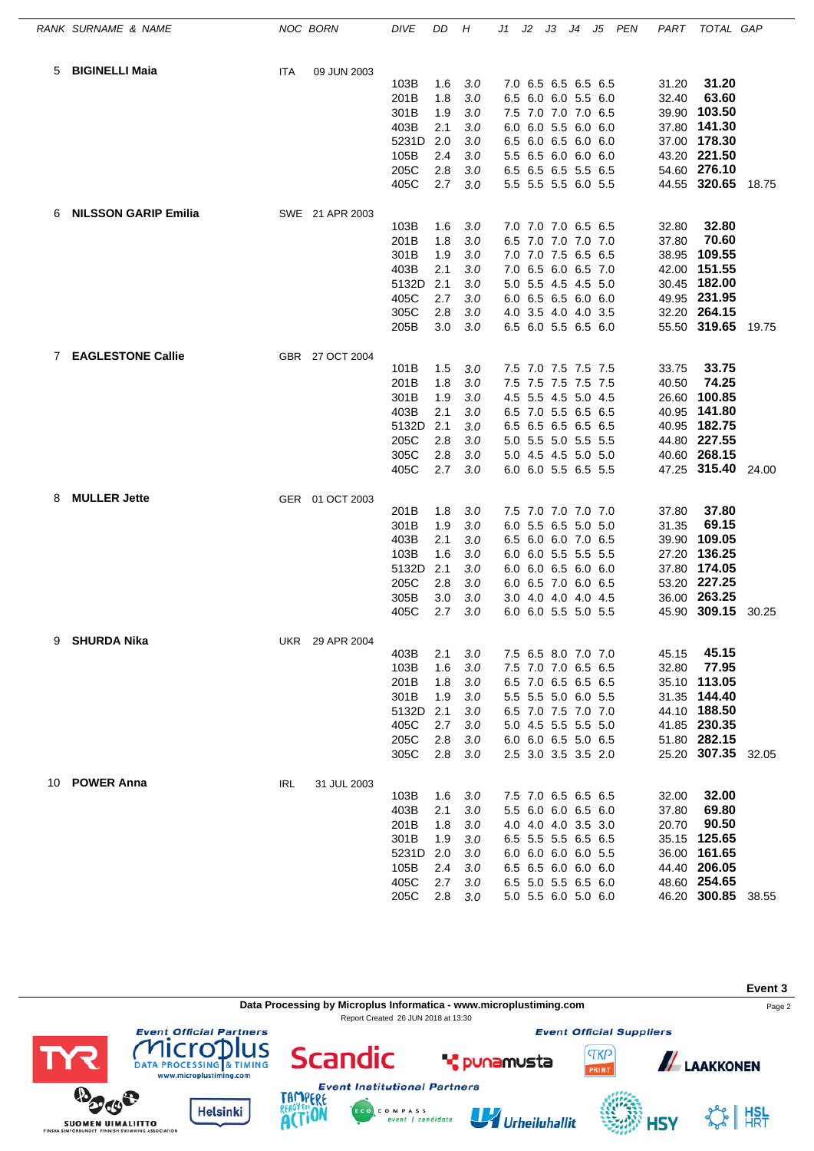|             | RANK SURNAME & NAME         |     | NOC BORN        | <b>DIVE</b>  | DD         | Н          | J1 | J2 | JЗ | J4                                         | J5 PEN | PART  | TOTAL GAP                          |       |
|-------------|-----------------------------|-----|-----------------|--------------|------------|------------|----|----|----|--------------------------------------------|--------|-------|------------------------------------|-------|
| 5           | <b>BIGINELLI Maia</b>       | ITA | 09 JUN 2003     |              |            |            |    |    |    |                                            |        |       |                                    |       |
|             |                             |     |                 | 103B         | 1.6        | 3.0        |    |    |    | 7.0 6.5 6.5 6.5 6.5                        |        | 31.20 | 31.20                              |       |
|             |                             |     |                 | 201B         | 1.8        | 3.0        |    |    |    | 6.5 6.0 6.0 5.5 6.0                        |        | 32.40 | 63.60                              |       |
|             |                             |     |                 | 301B         | 1.9        | 3.0        |    |    |    | 7.5 7.0 7.0 7.0 6.5                        |        |       | 39.90 103.50                       |       |
|             |                             |     |                 | 403B         | 2.1        | 3.0        |    |    |    | 6.0 6.0 5.5 6.0 6.0                        |        |       | 37.80 141.30                       |       |
|             |                             |     |                 | 5231D        | 2.0        | 3.0        |    |    |    | 6.5 6.0 6.5 6.0 6.0                        |        |       | 37.00 178.30                       |       |
|             |                             |     |                 | 105B         | 2.4        | 3.0        |    |    |    | 5.5 6.5 6.0 6.0 6.0                        |        |       | 43.20 221.50                       |       |
|             |                             |     |                 | 205C<br>405C | 2.8<br>2.7 | 3.0<br>3.0 |    |    |    | 6.5 6.5 6.5 5.5 6.5<br>5.5 5.5 5.5 6.0 5.5 |        |       | 54.60 276.10<br>44.55 320.65 18.75 |       |
|             |                             |     |                 |              |            |            |    |    |    |                                            |        |       |                                    |       |
| 6           | <b>NILSSON GARIP Emilia</b> |     | SWE 21 APR 2003 |              |            |            |    |    |    |                                            |        |       |                                    |       |
|             |                             |     |                 | 103B         | 1.6        | 3.0        |    |    |    | 7.0 7.0 7.0 6.5 6.5                        |        | 32.80 | 32.80                              |       |
|             |                             |     |                 | 201B         | 1.8        | 3.0        |    |    |    | 6.5 7.0 7.0 7.0 7.0                        |        | 37.80 | 70.60<br>38.95 109.55              |       |
|             |                             |     |                 | 301B<br>403B | 1.9<br>2.1 | 3.0<br>3.0 |    |    |    | 7.0 7.0 7.5 6.5 6.5<br>7.0 6.5 6.0 6.5 7.0 |        |       | 42.00 151.55                       |       |
|             |                             |     |                 | 5132D        | 2.1        | 3.0        |    |    |    | 5.0 5.5 4.5 4.5 5.0                        |        |       | 30.45 182.00                       |       |
|             |                             |     |                 | 405C         | 2.7        | 3.0        |    |    |    | 6.0 6.5 6.5 6.0 6.0                        |        |       | 49.95 231.95                       |       |
|             |                             |     |                 | 305C         | 2.8        | 3.0        |    |    |    | 4.0 3.5 4.0 4.0 3.5                        |        |       | 32.20 264.15                       |       |
|             |                             |     |                 | 205B         | 3.0        | 3.0        |    |    |    | 6.5 6.0 5.5 6.5 6.0                        |        |       | 55.50 319.65 19.75                 |       |
| $7^{\circ}$ | <b>EAGLESTONE Callie</b>    |     | GBR 27 OCT 2004 |              |            |            |    |    |    |                                            |        |       |                                    |       |
|             |                             |     |                 | 101B         | 1.5        | 3.0        |    |    |    | 7.5 7.0 7.5 7.5 7.5                        |        | 33.75 | 33.75                              |       |
|             |                             |     |                 | 201B         | 1.8        | 3.0        |    |    |    | 7.5 7.5 7.5 7.5 7.5                        |        | 40.50 | 74.25                              |       |
|             |                             |     |                 | 301B         | 1.9        | 3.0        |    |    |    | 4.5 5.5 4.5 5.0 4.5                        |        | 26.60 | 100.85                             |       |
|             |                             |     |                 | 403B         | 2.1        | 3.0        |    |    |    | 6.5 7.0 5.5 6.5 6.5                        |        |       | 40.95 141.80                       |       |
|             |                             |     |                 | 5132D        | 2.1        | 3.0        |    |    |    | 6.5 6.5 6.5 6.5 6.5                        |        |       | 40.95 182.75                       |       |
|             |                             |     |                 | 205C         | 2.8        | 3.0        |    |    |    | 5.0 5.5 5.0 5.5 5.5                        |        |       | 44.80 227.55                       |       |
|             |                             |     |                 | 305C         | 2.8        | 3.0        |    |    |    | 5.0 4.5 4.5 5.0 5.0                        |        |       | 40.60 268.15                       |       |
|             |                             |     |                 | 405C         | 2.7        | 3.0        |    |    |    | 6.0 6.0 5.5 6.5 5.5                        |        |       | 47.25 315.40 24.00                 |       |
| 8           | <b>MULLER Jette</b>         |     | GER 01 OCT 2003 |              |            |            |    |    |    |                                            |        |       |                                    |       |
|             |                             |     |                 | 201B         | 1.8        | 3.0        |    |    |    | 7.5 7.0 7.0 7.0 7.0                        |        | 37.80 | 37.80                              |       |
|             |                             |     |                 | 301B         | 1.9        | 3.0        |    |    |    | 6.0 5.5 6.5 5.0 5.0                        |        | 31.35 | 69.15                              |       |
|             |                             |     |                 | 403B         | 2.1        | 3.0        |    |    |    | 6.5 6.0 6.0 7.0 6.5                        |        | 39.90 | 109.05                             |       |
|             |                             |     |                 | 103B         | 1.6        | 3.0        |    |    |    | 6.0 6.0 5.5 5.5 5.5                        |        |       | 27.20 136.25                       |       |
|             |                             |     |                 | 5132D        | 2.1        | 3.0        |    |    |    | 6.0 6.0 6.5 6.0 6.0                        |        |       | 37.80 174.05                       |       |
|             |                             |     |                 | 205C         | 2.8        | 3.0        |    |    |    | 6.0 6.5 7.0 6.0 6.5                        |        |       | 53.20 227.25                       |       |
|             |                             |     |                 | 305B         | 3.0        | 3.0        |    |    |    | 3.0 4.0 4.0 4.0 4.5                        |        |       | 36.00 263.25                       |       |
|             |                             |     |                 | 405C         | 2.7        | 3.0        |    |    |    | 6.0 6.0 5.5 5.0 5.5                        |        |       | 45.90 309.15                       | 30.25 |
| 9           | <b>SHURDA Nika</b>          |     | UKR 29 APR 2004 |              |            |            |    |    |    |                                            |        |       |                                    |       |
|             |                             |     |                 | 403B         | 2.1        | 3.0        |    |    |    | 7.5 6.5 8.0 7.0 7.0                        |        | 45.15 | 45.15                              |       |
|             |                             |     |                 | 103B         | 1.6        | 3.0        |    |    |    | 7.5 7.0 7.0 6.5 6.5                        |        | 32.80 | 77.95                              |       |
|             |                             |     |                 | 201B         | 1.8        | 3.0        |    |    |    | 6.5 7.0 6.5 6.5 6.5                        |        |       | 35.10 113.05                       |       |
|             |                             |     |                 | 301B         | 1.9        | 3.0        |    |    |    | 5.5 5.5 5.0 6.0 5.5                        |        |       | 31.35 144.40                       |       |
|             |                             |     |                 | 5132D        | 2.1        | 3.0        |    |    |    | 6.5 7.0 7.5 7.0 7.0                        |        |       | 44.10 188.50                       |       |
|             |                             |     |                 | 405C         | 2.7        | 3.0        |    |    |    | 5.0 4.5 5.5 5.5 5.0                        |        |       | 41.85 230.35<br>51.80 282.15       |       |
|             |                             |     |                 | 205C<br>305C | 2.8<br>2.8 | 3.0<br>3.0 |    |    |    | 6.0 6.0 6.5 5.0 6.5<br>2.5 3.0 3.5 3.5 2.0 |        |       | 25.20 307.35 32.05                 |       |
|             |                             |     |                 |              |            |            |    |    |    |                                            |        |       |                                    |       |
|             | 10 POWER Anna               | IRL | 31 JUL 2003     | 103B         | 1.6        | 3.0        |    |    |    | 7.5 7.0 6.5 6.5 6.5                        |        | 32.00 | 32.00                              |       |
|             |                             |     |                 | 403B         | 2.1        | 3.0        |    |    |    | 5.5 6.0 6.0 6.5 6.0                        |        | 37.80 | 69.80                              |       |
|             |                             |     |                 | 201B         | 1.8        | 3.0        |    |    |    | 4.0 4.0 4.0 3.5 3.0                        |        | 20.70 | 90.50                              |       |
|             |                             |     |                 | 301B         | 1.9        | 3.0        |    |    |    | 6.5 5.5 5.5 6.5 6.5                        |        |       | 35.15 125.65                       |       |
|             |                             |     |                 | 5231D        | 2.0        | 3.0        |    |    |    | 6.0 6.0 6.0 6.0 5.5                        |        |       | 36.00 161.65                       |       |
|             |                             |     |                 | 105B         | 2.4        | 3.0        |    |    |    | 6.5 6.5 6.0 6.0 6.0                        |        |       | 44.40 206.05                       |       |
|             |                             |     |                 | 405C         | 2.7        | 3.0        |    |    |    | 6.5 5.0 5.5 6.5 6.0                        |        |       | 48.60 254.65                       |       |
|             |                             |     |                 | 205C         | 2.8        | 3.0        |    |    |    | 5.0 5.5 6.0 5.0 6.0                        |        |       | 46.20 300.85 38.55                 |       |



C O M P A S S<br>event | candidate

Urheiluhallit

**Helsinki** 

SUOMEN UIMALIITTO

**ACTION** 

☆ | #SL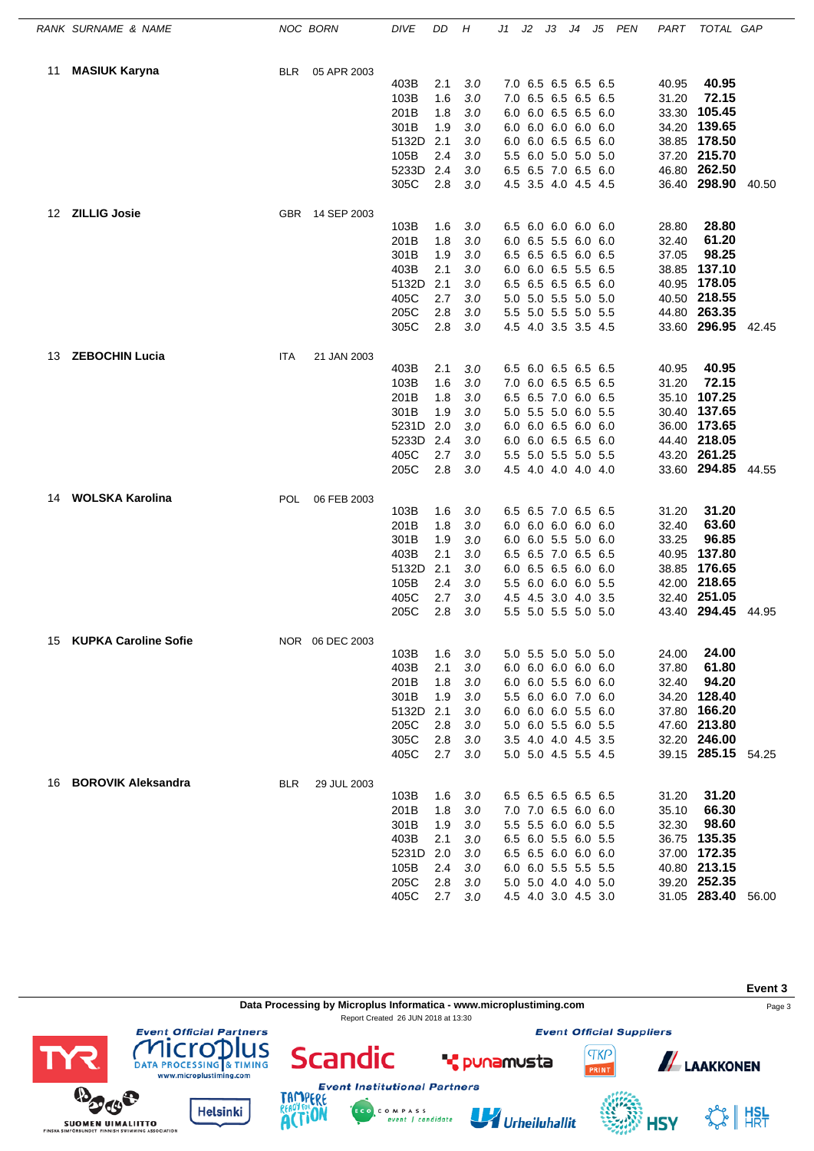|     | RANK SURNAME & NAME         |            | NOC BORN        | <b>DIVE</b> | DD  | Η   | J1 | J2 | JЗ                  | J4 | J5 PEN | PART  | TOTAL GAP          |       |
|-----|-----------------------------|------------|-----------------|-------------|-----|-----|----|----|---------------------|----|--------|-------|--------------------|-------|
| 11  | <b>MASIUK Karyna</b>        | <b>BLR</b> | 05 APR 2003     |             |     |     |    |    |                     |    |        |       |                    |       |
|     |                             |            |                 | 403B        | 2.1 | 3.0 |    |    | 7.0 6.5 6.5 6.5 6.5 |    |        | 40.95 | 40.95              |       |
|     |                             |            |                 | 103B        | 1.6 | 3.0 |    |    | 7.0 6.5 6.5 6.5 6.5 |    |        | 31.20 | 72.15              |       |
|     |                             |            |                 | 201B        | 1.8 | 3.0 |    |    | 6.0 6.0 6.5 6.5 6.0 |    |        | 33.30 | 105.45             |       |
|     |                             |            |                 | 301B        | 1.9 | 3.0 |    |    | 6.0 6.0 6.0 6.0 6.0 |    |        |       | 34.20 139.65       |       |
|     |                             |            |                 | 5132D       | 2.1 | 3.0 |    |    | 6.0 6.0 6.5 6.5 6.0 |    |        |       | 38.85 178.50       |       |
|     |                             |            |                 | 105B        | 2.4 | 3.0 |    |    | 5.5 6.0 5.0 5.0 5.0 |    |        |       | 37.20 215.70       |       |
|     |                             |            |                 | 5233D       | 2.4 | 3.0 |    |    | 6.5 6.5 7.0 6.5 6.0 |    |        |       | 46.80 262.50       |       |
|     |                             |            |                 | 305C        | 2.8 | 3.0 |    |    | 4.5 3.5 4.0 4.5 4.5 |    |        |       | 36.40 298.90 40.50 |       |
| 12  | <b>ZILLIG Josie</b>         |            | GBR 14 SEP 2003 |             |     |     |    |    |                     |    |        |       |                    |       |
|     |                             |            |                 | 103B        | 1.6 | 3.0 |    |    | 6.5 6.0 6.0 6.0 6.0 |    |        | 28.80 | 28.80              |       |
|     |                             |            |                 | 201B        | 1.8 | 3.0 |    |    | 6.0 6.5 5.5 6.0 6.0 |    |        | 32.40 | 61.20              |       |
|     |                             |            |                 | 301B        | 1.9 | 3.0 |    |    | 6.5 6.5 6.5 6.0 6.5 |    |        | 37.05 | 98.25              |       |
|     |                             |            |                 | 403B        | 2.1 | 3.0 |    |    | 6.0 6.0 6.5 5.5 6.5 |    |        | 38.85 | 137.10             |       |
|     |                             |            |                 | 5132D       | 2.1 | 3.0 |    |    | 6.5 6.5 6.5 6.5 6.0 |    |        | 40.95 | 178.05             |       |
|     |                             |            |                 | 405C        | 2.7 | 3.0 |    |    | 5.0 5.0 5.5 5.0 5.0 |    |        |       | 40.50 218.55       |       |
|     |                             |            |                 | 205C        | 2.8 | 3.0 |    |    | 5.5 5.0 5.5 5.0 5.5 |    |        |       | 44.80 263.35       |       |
|     |                             |            |                 | 305C        | 2.8 | 3.0 |    |    | 4.5 4.0 3.5 3.5 4.5 |    |        |       | 33.60 296.95 42.45 |       |
| 13. | <b>ZEBOCHIN Lucia</b>       | <b>ITA</b> | 21 JAN 2003     |             |     |     |    |    |                     |    |        |       |                    |       |
|     |                             |            |                 | 403B        | 2.1 | 3.0 |    |    | 6.5 6.0 6.5 6.5 6.5 |    |        | 40.95 | 40.95              |       |
|     |                             |            |                 | 103B        | 1.6 | 3.0 |    |    | 7.0 6.0 6.5 6.5 6.5 |    |        | 31.20 | 72.15              |       |
|     |                             |            |                 | 201B        | 1.8 | 3.0 |    |    | 6.5 6.5 7.0 6.0 6.5 |    |        | 35.10 | 107.25             |       |
|     |                             |            |                 | 301B        | 1.9 | 3.0 |    |    | 5.0 5.5 5.0 6.0 5.5 |    |        |       | 30.40 137.65       |       |
|     |                             |            |                 | 5231D       | 2.0 | 3.0 |    |    | 6.0 6.0 6.5 6.0 6.0 |    |        | 36.00 | 173.65             |       |
|     |                             |            |                 | 5233D       | 2.4 | 3.0 |    |    | 6.0 6.0 6.5 6.5 6.0 |    |        |       | 44.40 218.05       |       |
|     |                             |            |                 | 405C        | 2.7 | 3.0 |    |    | 5.5 5.0 5.5 5.0 5.5 |    |        |       | 43.20 261.25       |       |
|     |                             |            |                 | 205C        | 2.8 | 3.0 |    |    | 4.5 4.0 4.0 4.0 4.0 |    |        |       | 33.60 294.85       | 44.55 |
| 14  | <b>WOLSKA Karolina</b>      | <b>POL</b> | 06 FEB 2003     |             |     |     |    |    |                     |    |        |       |                    |       |
|     |                             |            |                 | 103B        | 1.6 | 3.0 |    |    | 6.5 6.5 7.0 6.5 6.5 |    |        | 31.20 | 31.20              |       |
|     |                             |            |                 | 201B        | 1.8 | 3.0 |    |    | 6.0 6.0 6.0 6.0 6.0 |    |        | 32.40 | 63.60              |       |
|     |                             |            |                 | 301B        | 1.9 | 3.0 |    |    | 6.0 6.0 5.5 5.0 6.0 |    |        | 33.25 | 96.85              |       |
|     |                             |            |                 | 403B        | 2.1 | 3.0 |    |    | 6.5 6.5 7.0 6.5 6.5 |    |        | 40.95 | 137.80             |       |
|     |                             |            |                 | 5132D       | 2.1 | 3.0 |    |    | 6.0 6.5 6.5 6.0 6.0 |    |        |       | 38.85 176.65       |       |
|     |                             |            |                 | 105B        | 2.4 | 3.0 |    |    | 5.5 6.0 6.0 6.0 5.5 |    |        |       | 42.00 218.65       |       |
|     |                             |            |                 | 405C        | 2.7 | 3.0 |    |    | 4.5 4.5 3.0 4.0 3.5 |    |        |       | 32.40 251.05       |       |
|     |                             |            |                 | 205C        | 2.8 | 3.0 |    |    | 5.5 5.0 5.5 5.0 5.0 |    |        |       | 43.40 294.45       | 44.95 |
| 15  | <b>KUPKA Caroline Sofie</b> |            | NOR 06 DEC 2003 |             |     |     |    |    |                     |    |        |       |                    |       |
|     |                             |            |                 | 103B        | 1.6 | 3.0 |    |    | 5.0 5.5 5.0 5.0 5.0 |    |        | 24.00 | 24.00              |       |
|     |                             |            |                 | 403B        | 2.1 | 3.0 |    |    | 6.0 6.0 6.0 6.0 6.0 |    |        | 37.80 | 61.80              |       |
|     |                             |            |                 | 201B        | 1.8 | 3.0 |    |    | 6.0 6.0 5.5 6.0 6.0 |    |        | 32.40 | 94.20              |       |
|     |                             |            |                 | 301B        | 1.9 | 3.0 |    |    | 5.5 6.0 6.0 7.0 6.0 |    |        |       | 34.20 128.40       |       |
|     |                             |            |                 | 5132D       | 2.1 | 3.0 |    |    | 6.0 6.0 6.0 5.5 6.0 |    |        |       | 37.80 166.20       |       |
|     |                             |            |                 | 205C        | 2.8 | 3.0 |    |    | 5.0 6.0 5.5 6.0 5.5 |    |        |       | 47.60 213.80       |       |
|     |                             |            |                 | 305C        | 2.8 | 3.0 |    |    | 3.5 4.0 4.0 4.5 3.5 |    |        |       | 32.20 246.00       |       |
|     |                             |            |                 | 405C        | 2.7 | 3.0 |    |    | 5.0 5.0 4.5 5.5 4.5 |    |        |       | 39.15 285.15 54.25 |       |
|     | 16 BOROVIK Aleksandra       | <b>BLR</b> | 29 JUL 2003     |             |     |     |    |    |                     |    |        |       |                    |       |
|     |                             |            |                 | 103B        | 1.6 | 3.0 |    |    | 6.5 6.5 6.5 6.5 6.5 |    |        | 31.20 | 31.20              |       |
|     |                             |            |                 | 201B        | 1.8 | 3.0 |    |    | 7.0 7.0 6.5 6.0 6.0 |    |        | 35.10 | 66.30              |       |
|     |                             |            |                 | 301B        | 1.9 | 3.0 |    |    | 5.5 5.5 6.0 6.0 5.5 |    |        | 32.30 | 98.60              |       |
|     |                             |            |                 | 403B        | 2.1 | 3.0 |    |    | 6.5 6.0 5.5 6.0 5.5 |    |        |       | 36.75 135.35       |       |
|     |                             |            |                 | 5231D       | 2.0 | 3.0 |    |    | 6.5 6.5 6.0 6.0 6.0 |    |        |       | 37.00 172.35       |       |
|     |                             |            |                 | 105B        | 2.4 | 3.0 |    |    | 6.0 6.0 5.5 5.5 5.5 |    |        |       | 40.80 213.15       |       |
|     |                             |            |                 | 205C        | 2.8 | 3.0 |    |    | 5.0 5.0 4.0 4.0 5.0 |    |        |       | 39.20 252.35       |       |
|     |                             |            |                 | 405C        | 2.7 | 3.0 |    |    | 4.5 4.0 3.0 4.5 3.0 |    |        |       | 31.05 283.40 56.00 |       |



C O M P A S S<br>event | candidate

Urheiluhallit

ERE

**ACTION** 

**Helsinki** 

**SUOMEN UIMALIITTO** 

SS HISL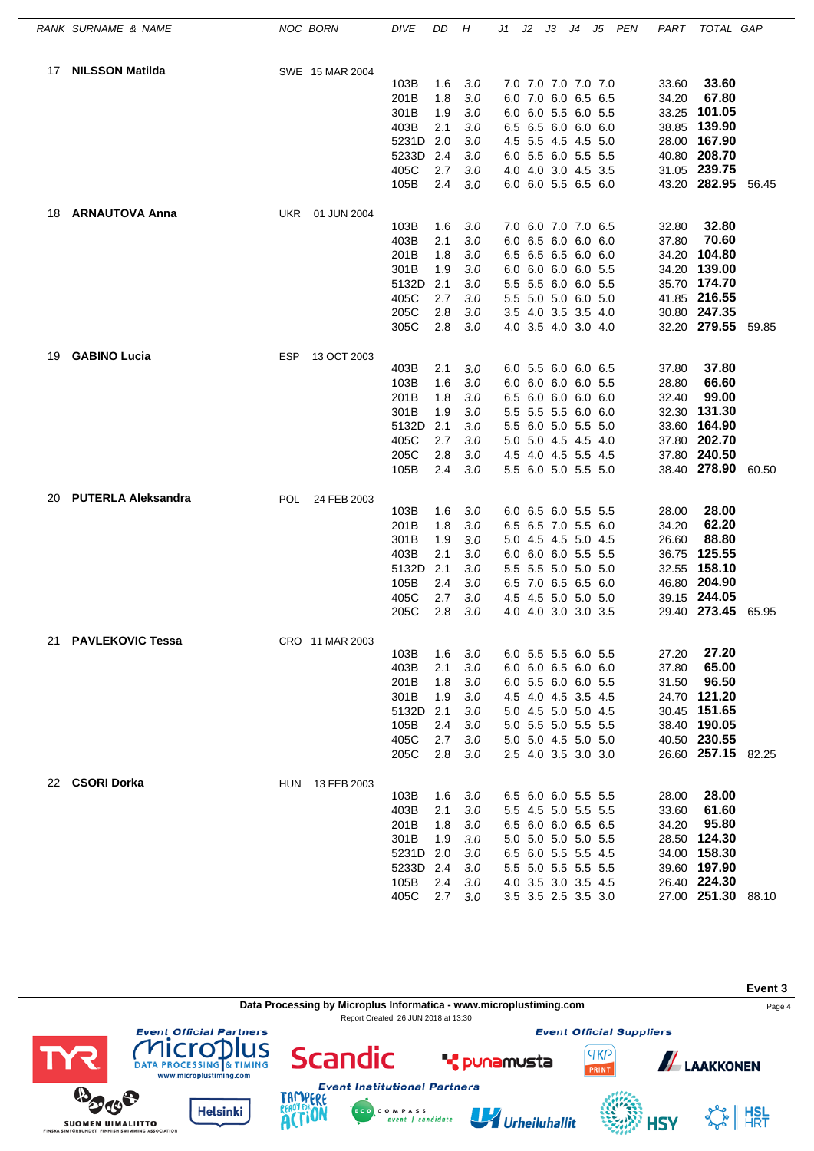|    | RANK SURNAME & NAME       |            | NOC BORN        | <b>DIVE</b>  | DD         | Н          | J1 | J2 | JЗ                                         | J4 | J5 PEN | PART           | TOTAL GAP          |       |
|----|---------------------------|------------|-----------------|--------------|------------|------------|----|----|--------------------------------------------|----|--------|----------------|--------------------|-------|
| 17 | <b>NILSSON Matilda</b>    |            | SWE 15 MAR 2004 |              |            |            |    |    |                                            |    |        |                |                    |       |
|    |                           |            |                 | 103B         | 1.6        | 3.0        |    |    | 7.0 7.0 7.0 7.0 7.0                        |    |        | 33.60          | 33.60              |       |
|    |                           |            |                 | 201B         | 1.8        | 3.0        |    |    | 6.0 7.0 6.0 6.5 6.5                        |    |        | 34.20          | 67.80              |       |
|    |                           |            |                 | 301B         | 1.9        | 3.0        |    |    | 6.0 6.0 5.5 6.0 5.5                        |    |        | 33.25          | 101.05             |       |
|    |                           |            |                 | 403B         | 2.1        | 3.0        |    |    | 6.5 6.5 6.0 6.0 6.0                        |    |        |                | 38.85 139.90       |       |
|    |                           |            |                 | 5231D 2.0    |            | 3.0        |    |    | 4.5 5.5 4.5 4.5 5.0                        |    |        |                | 28.00 167.90       |       |
|    |                           |            |                 | 5233D        | 2.4        | 3.0        |    |    | 6.0 5.5 6.0 5.5 5.5                        |    |        |                | 40.80 208.70       |       |
|    |                           |            |                 | 405C         | 2.7        | 3.0        |    |    | 4.0 4.0 3.0 4.5 3.5                        |    |        |                | 31.05 239.75       |       |
|    |                           |            |                 | 105B         | 2.4        | 3.0        |    |    | 6.0 6.0 5.5 6.5 6.0                        |    |        |                | 43.20 282.95       | 56.45 |
| 18 | <b>ARNAUTOVA Anna</b>     | UKR        | 01 JUN 2004     |              |            |            |    |    |                                            |    |        |                |                    |       |
|    |                           |            |                 | 103B         | 1.6        | 3.0        |    |    | 7.0 6.0 7.0 7.0 6.5                        |    |        | 32.80          | 32.80              |       |
|    |                           |            |                 | 403B         | 2.1        | 3.0        |    |    | 6.0 6.5 6.0 6.0 6.0                        |    |        | 37.80          | 70.60              |       |
|    |                           |            |                 | 201B         | 1.8        | 3.0        |    |    | 6.5 6.5 6.5 6.0 6.0                        |    |        | 34.20          | 104.80             |       |
|    |                           |            |                 | 301B         | 1.9        | 3.0        |    |    | 6.0 6.0 6.0 6.0 5.5                        |    |        | 34.20          | 139.00             |       |
|    |                           |            |                 | 5132D        | 2.1        | 3.0        |    |    | 5.5 5.5 6.0 6.0 5.5                        |    |        | 35.70          | 174.70             |       |
|    |                           |            |                 | 405C         | 2.7        | 3.0        |    |    | 5.5 5.0 5.0 6.0 5.0                        |    |        |                | 41.85 216.55       |       |
|    |                           |            |                 | 205C         | 2.8        | 3.0        |    |    | 3.5 4.0 3.5 3.5 4.0                        |    |        |                | 30.80 247.35       |       |
|    |                           |            |                 | 305C         | 2.8        | 3.0        |    |    | 4.0 3.5 4.0 3.0 4.0                        |    |        |                | 32.20 279.55 59.85 |       |
| 19 | <b>GABINO Lucia</b>       | ESP        | 13 OCT 2003     |              |            |            |    |    |                                            |    |        |                |                    |       |
|    |                           |            |                 | 403B         | 2.1        | 3.0        |    |    | 6.0 5.5 6.0 6.0 6.5                        |    |        | 37.80          | 37.80<br>66.60     |       |
|    |                           |            |                 | 103B         | 1.6        | 3.0<br>3.0 |    |    | 6.0 6.0 6.0 6.0 5.5<br>6.5 6.0 6.0 6.0 6.0 |    |        | 28.80          | 99.00              |       |
|    |                           |            |                 | 201B<br>301B | 1.8<br>1.9 | 3.0        |    |    | 5.5 5.5 5.5 6.0 6.0                        |    |        | 32.40<br>32.30 | 131.30             |       |
|    |                           |            |                 | 5132D        | 2.1        | 3.0        |    |    | 5.5 6.0 5.0 5.5 5.0                        |    |        | 33.60          | 164.90             |       |
|    |                           |            |                 | 405C         | 2.7        | 3.0        |    |    | 5.0 5.0 4.5 4.5 4.0                        |    |        |                | 37.80 202.70       |       |
|    |                           |            |                 | 205C         | 2.8        | 3.0        |    |    | 4.5 4.0 4.5 5.5 4.5                        |    |        |                | 37.80 240.50       |       |
|    |                           |            |                 | 105B         | 2.4        | 3.0        |    |    | 5.5 6.0 5.0 5.5 5.0                        |    |        |                | 38.40 278.90       | 60.50 |
| 20 | <b>PUTERLA Aleksandra</b> | <b>POL</b> | 24 FEB 2003     |              |            |            |    |    |                                            |    |        |                |                    |       |
|    |                           |            |                 | 103B         | 1.6        | 3.0        |    |    | 6.0 6.5 6.0 5.5 5.5                        |    |        | 28.00          | 28.00              |       |
|    |                           |            |                 | 201B         | 1.8        | 3.0        |    |    | 6.5 6.5 7.0 5.5 6.0                        |    |        | 34.20          | 62.20              |       |
|    |                           |            |                 | 301B         | 1.9        | 3.0        |    |    | 5.0 4.5 4.5 5.0 4.5                        |    |        | 26.60          | 88.80              |       |
|    |                           |            |                 | 403B         | 2.1        | 3.0        |    |    | 6.0 6.0 6.0 5.5 5.5                        |    |        | 36.75          | 125.55             |       |
|    |                           |            |                 | 5132D        | 2.1        | 3.0        |    |    | 5.5 5.5 5.0 5.0 5.0                        |    |        |                | 32.55 158.10       |       |
|    |                           |            |                 | 105B         | 2.4        | 3.0        |    |    | 6.5 7.0 6.5 6.5 6.0                        |    |        |                | 46.80 204.90       |       |
|    |                           |            |                 | 405C         | 2.7        | 3.0        |    |    | 4.5 4.5 5.0 5.0 5.0                        |    |        |                | 39.15 244.05       |       |
|    |                           |            |                 | 205C         | 2.8        | 3.0        |    |    | 4.0 4.0 3.0 3.0 3.5                        |    |        |                | 29.40 273.45       | 65.95 |
| 21 | <b>PAVLEKOVIC Tessa</b>   |            | CRO 11 MAR 2003 |              |            |            |    |    |                                            |    |        |                |                    |       |
|    |                           |            |                 | 103B         | 1.6        | 3.0        |    |    | 6.0 5.5 5.5 6.0 5.5                        |    |        | 27.20          | 27.20              |       |
|    |                           |            |                 | 403B         | 2.1        | 3.0        |    |    | 6.0 6.0 6.5 6.0 6.0                        |    |        | 37.80          | 65.00              |       |
|    |                           |            |                 | 201B         | 1.8        | 3.0        |    |    | 6.0 5.5 6.0 6.0 5.5                        |    |        | 31.50          | 96.50              |       |
|    |                           |            |                 | 301B         | 1.9        | 3.0        |    |    | 4.5 4.0 4.5 3.5 4.5                        |    |        |                | 24.70 121.20       |       |
|    |                           |            |                 | 5132D        | 2.1        | 3.0        |    |    | 5.0 4.5 5.0 5.0 4.5                        |    |        |                | 30.45 151.65       |       |
|    |                           |            |                 | 105B         | 2.4        | 3.0        |    |    | 5.0 5.5 5.0 5.5 5.5                        |    |        |                | 38.40 190.05       |       |
|    |                           |            |                 | 405C         | 2.7        | 3.0        |    |    | 5.0 5.0 4.5 5.0 5.0                        |    |        |                | 40.50 230.55       |       |
|    |                           |            |                 | 205C         | 2.8        | 3.0        |    |    | 2.5 4.0 3.5 3.0 3.0                        |    |        |                | 26.60 257.15 82.25 |       |
|    | 22 CSORI Dorka            |            | HUN 13 FEB 2003 |              |            |            |    |    |                                            |    |        |                |                    |       |
|    |                           |            |                 | 103B         | 1.6        | 3.0        |    |    | 6.5 6.0 6.0 5.5 5.5                        |    |        | 28.00          | 28.00              |       |
|    |                           |            |                 | 403B         | 2.1        | 3.0        |    |    | 5.5 4.5 5.0 5.5 5.5                        |    |        | 33.60          | 61.60              |       |
|    |                           |            |                 | 201B         | 1.8        | 3.0        |    |    | 6.5 6.0 6.0 6.5 6.5                        |    |        | 34.20          | 95.80              |       |
|    |                           |            |                 | 301B         | 1.9        | 3.0        |    |    | 5.0 5.0 5.0 5.0 5.5                        |    |        |                | 28.50 124.30       |       |
|    |                           |            |                 | 5231D 2.0    |            | 3.0        |    |    | 6.5 6.0 5.5 5.5 4.5                        |    |        |                | 34.00 158.30       |       |
|    |                           |            |                 | 5233D        | 2.4        | 3.0        |    |    | 5.5 5.0 5.5 5.5 5.5                        |    |        |                | 39.60 197.90       |       |
|    |                           |            |                 | 105B         | 2.4        | 3.0        |    |    | 4.0 3.5 3.0 3.5 4.5                        |    |        |                | 26.40 224.30       |       |
|    |                           |            |                 | 405C         | 2.7        | 3.0        |    |    | 3.5 3.5 2.5 3.5 3.0                        |    |        |                | 27.00 251.30 88.10 |       |



C O M P A S S<br>event | candidate

Urheiluhallit

ERE

**ACTION** 

**Helsinki** 

**SUOMEN UIMALIITTO** 

SS HISL